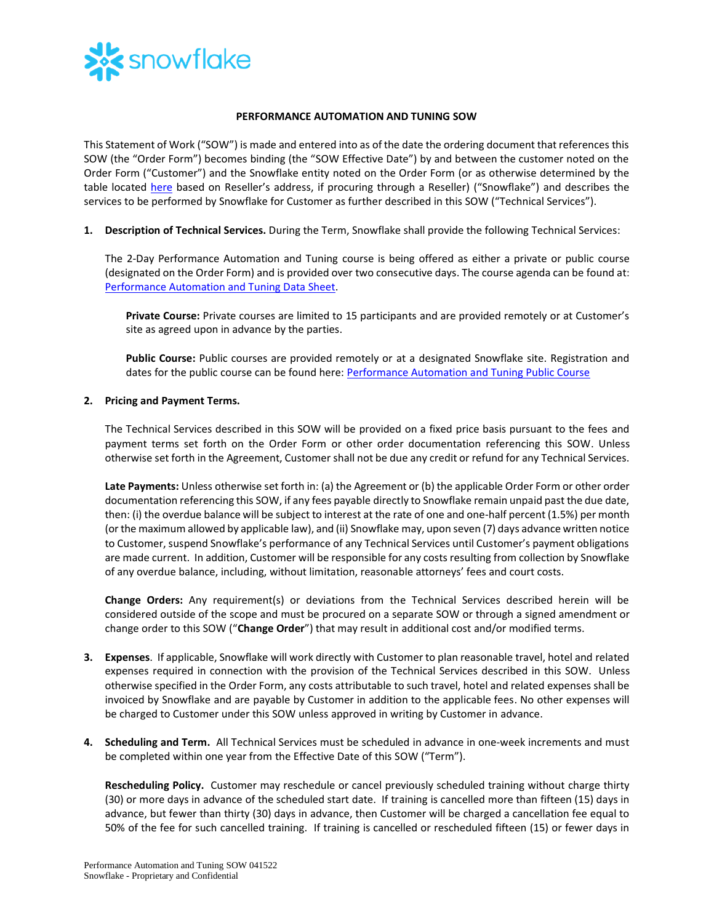

## **PERFORMANCE AUTOMATION AND TUNING SOW**

This Statement of Work ("SOW") is made and entered into as of the date the ordering document that references this SOW (the "Order Form") becomes binding (the "SOW Effective Date") by and between the customer noted on the Order Form ("Customer") and the Snowflake entity noted on the Order Form (or as otherwise determined by the table located [here](https://www.snowflake.com/legal/snowflake-contracting-entities/) based on Reseller's address, if procuring through a Reseller) ("Snowflake") and describes the services to be performed by Snowflake for Customer as further described in this SOW ("Technical Services").

**1. Description of Technical Services.** During the Term, Snowflake shall provide the following Technical Services:

The 2-Day Performance Automation and Tuning course is being offered as either a private or public course (designated on the Order Form) and is provided over two consecutive days. The course agenda can be found at: [Performance Automation and Tuning Data Sheet.](https://bit.ly/2DayPerf-datasheet)

**Private Course:** Private courses are limited to 15 participants and are provided remotely or at Customer's site as agreed upon in advance by the parties.

**Public Course:** Public courses are provided remotely or at a designated Snowflake site. Registration and dates for the public course can be found here: [Performance Automation and Tuning Public Course](https://training.snowflake.com/schedule)

## **2. Pricing and Payment Terms.**

The Technical Services described in this SOW will be provided on a fixed price basis pursuant to the fees and payment terms set forth on the Order Form or other order documentation referencing this SOW. Unless otherwise set forth in the Agreement, Customer shall not be due any credit or refund for any Technical Services.

**Late Payments:** Unless otherwise set forth in: (a) the Agreement or (b) the applicable Order Form or other order documentation referencing this SOW, if any fees payable directly to Snowflake remain unpaid past the due date, then: (i) the overdue balance will be subject to interest at the rate of one and one-half percent (1.5%) per month (or the maximum allowed by applicable law), and (ii) Snowflake may, upon seven (7) days advance written notice to Customer, suspend Snowflake's performance of any Technical Services until Customer's payment obligations are made current. In addition, Customer will be responsible for any costs resulting from collection by Snowflake of any overdue balance, including, without limitation, reasonable attorneys' fees and court costs.

**Change Orders:** Any requirement(s) or deviations from the Technical Services described herein will be considered outside of the scope and must be procured on a separate SOW or through a signed amendment or change order to this SOW ("**Change Order**") that may result in additional cost and/or modified terms.

- **3. Expenses**. If applicable, Snowflake will work directly with Customer to plan reasonable travel, hotel and related expenses required in connection with the provision of the Technical Services described in this SOW. Unless otherwise specified in the Order Form, any costs attributable to such travel, hotel and related expenses shall be invoiced by Snowflake and are payable by Customer in addition to the applicable fees. No other expenses will be charged to Customer under this SOW unless approved in writing by Customer in advance.
- **4. Scheduling and Term.** All Technical Services must be scheduled in advance in one-week increments and must be completed within one year from the Effective Date of this SOW ("Term").

**Rescheduling Policy.** Customer may reschedule or cancel previously scheduled training without charge thirty (30) or more days in advance of the scheduled start date. If training is cancelled more than fifteen (15) days in advance, but fewer than thirty (30) days in advance, then Customer will be charged a cancellation fee equal to 50% of the fee for such cancelled training. If training is cancelled or rescheduled fifteen (15) or fewer days in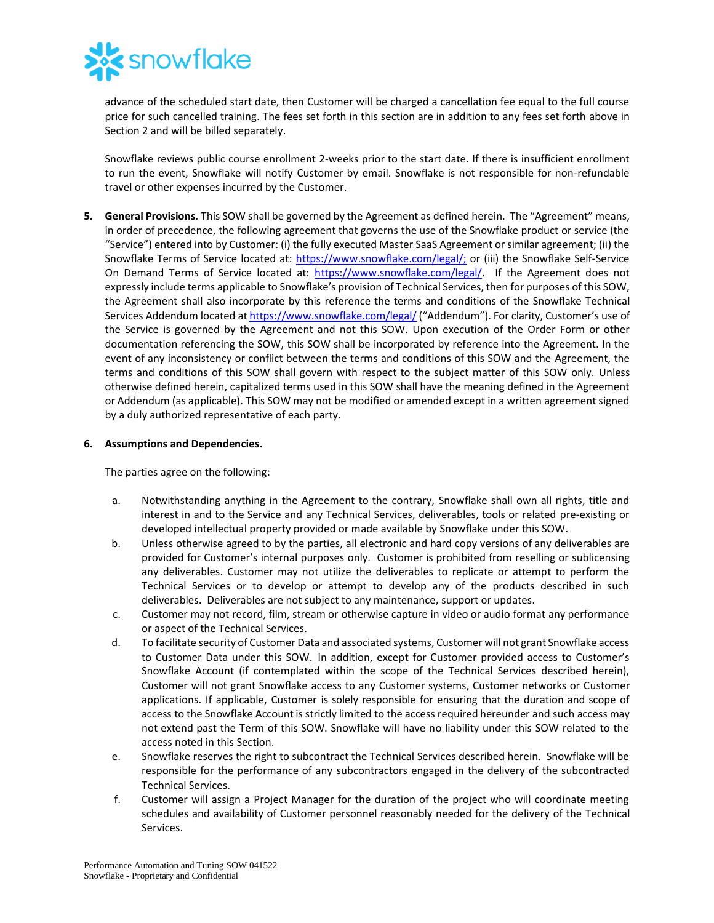

advance of the scheduled start date, then Customer will be charged a cancellation fee equal to the full course price for such cancelled training. The fees set forth in this section are in addition to any fees set forth above in Section 2 and will be billed separately.

Snowflake reviews public course enrollment 2-weeks prior to the start date. If there is insufficient enrollment to run the event, Snowflake will notify Customer by email. Snowflake is not responsible for non-refundable travel or other expenses incurred by the Customer.

**5. General Provisions.** This SOW shall be governed by the Agreement as defined herein. The "Agreement" means, in order of precedence, the following agreement that governs the use of the Snowflake product or service (the "Service") entered into by Customer: (i) the fully executed Master SaaS Agreement or similar agreement; (ii) the Snowflake Terms of Service located at: [https://www.snowflake.com/legal/;](https://www.snowflake.com/legal/) or (iii) the Snowflake Self-Service On Demand Terms of Service located at: [https://www.snowflake.com/legal/.](https://www.snowflake.com/legal/) If the Agreement does not expressly include terms applicable to Snowflake's provision of Technical Services, then for purposes of this SOW, the Agreement shall also incorporate by this reference the terms and conditions of the Snowflake Technical Services Addendum located a[t https://www.snowflake.com/legal/](https://www.snowflake.com/legal/) ("Addendum"). For clarity, Customer's use of the Service is governed by the Agreement and not this SOW. Upon execution of the Order Form or other documentation referencing the SOW, this SOW shall be incorporated by reference into the Agreement. In the event of any inconsistency or conflict between the terms and conditions of this SOW and the Agreement, the terms and conditions of this SOW shall govern with respect to the subject matter of this SOW only. Unless otherwise defined herein, capitalized terms used in this SOW shall have the meaning defined in the Agreement or Addendum (as applicable). This SOW may not be modified or amended except in a written agreement signed by a duly authorized representative of each party.

## **6. Assumptions and Dependencies.**

The parties agree on the following:

- a. Notwithstanding anything in the Agreement to the contrary, Snowflake shall own all rights, title and interest in and to the Service and any Technical Services, deliverables, tools or related pre-existing or developed intellectual property provided or made available by Snowflake under this SOW.
- b. Unless otherwise agreed to by the parties, all electronic and hard copy versions of any deliverables are provided for Customer's internal purposes only. Customer is prohibited from reselling or sublicensing any deliverables. Customer may not utilize the deliverables to replicate or attempt to perform the Technical Services or to develop or attempt to develop any of the products described in such deliverables. Deliverables are not subject to any maintenance, support or updates.
- c. Customer may not record, film, stream or otherwise capture in video or audio format any performance or aspect of the Technical Services.
- d. To facilitate security of Customer Data and associated systems, Customer will not grant Snowflake access to Customer Data under this SOW. In addition, except for Customer provided access to Customer's Snowflake Account (if contemplated within the scope of the Technical Services described herein), Customer will not grant Snowflake access to any Customer systems, Customer networks or Customer applications. If applicable, Customer is solely responsible for ensuring that the duration and scope of access to the Snowflake Account is strictly limited to the access required hereunder and such access may not extend past the Term of this SOW. Snowflake will have no liability under this SOW related to the access noted in this Section.
- e. Snowflake reserves the right to subcontract the Technical Services described herein. Snowflake will be responsible for the performance of any subcontractors engaged in the delivery of the subcontracted Technical Services.
- f. Customer will assign a Project Manager for the duration of the project who will coordinate meeting schedules and availability of Customer personnel reasonably needed for the delivery of the Technical Services.